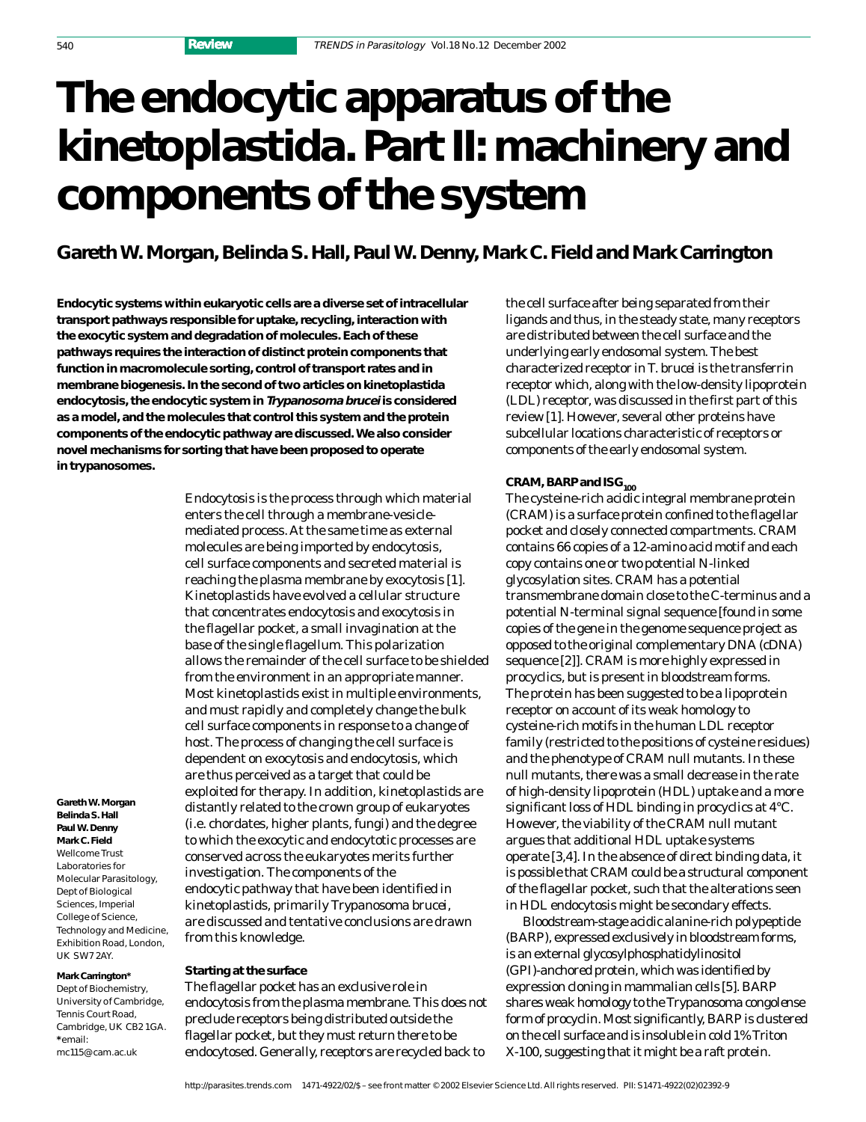# **The endocytic apparatus of the kinetoplastida. Part II: machinery and components of the system**

## **Gareth W. Morgan, Belinda S. Hall, Paul W. Denny, Mark C. Field and Mark Carrington**

**Endocytic systems within eukaryotic cells are a diverse set of intracellular transport pathways responsible for uptake, recycling, interaction with the exocytic system and degradation of molecules. Each of these pathways requires the interaction of distinct protein components that function in macromolecule sorting, control of transport rates and in membrane biogenesis. In the second of two articles on kinetoplastida endocytosis, the endocytic system in Trypanosoma brucei is considered as a model, and the molecules that control this system and the protein components of the endocytic pathway are discussed. We also consider novel mechanisms for sorting that have been proposed to operate in trypanosomes.**

> Endocytosis is the process through which material enters the cell through a membrane-vesiclemediated process. At the same time as external molecules are being imported by endocytosis, cell surface components and secreted material is reaching the plasma membrane by exocytosis [1]. Kinetoplastids have evolved a cellular structure that concentrates endocytosis and exocytosis in the flagellar pocket, a small invagination at the base of the single flagellum. This polarization allows the remainder of the cell surface to be shielded from the environment in an appropriate manner. Most kinetoplastids exist in multiple environments, and must rapidly and completely change the bulk cell surface components in response to a change of host. The process of changing the cell surface is dependent on exocytosis and endocytosis, which are thus perceived as a target that could be exploited for therapy. In addition, kinetoplastids are distantly related to the crown group of eukaryotes (i.e. chordates, higher plants, fungi) and the degree to which the exocytic and endocytotic processes are conserved across the eukaryotes merits further investigation. The components of the endocytic pathway that have been identified in kinetoplastids, primarily *Trypanosoma brucei*, are discussed and tentative conclusions are drawn from this knowledge.

#### **Mark Carrington\***

**Gareth W. Morgan Belinda S. Hall Paul W. Denny Mark C. Field**  Wellcome Trust Laboratories for Molecular Parasitology, Dept of Biological Sciences, Imperial College of Science, Technology and Medicine, Exhibition Road, London, UK SW7 2AY.

Dept of Biochemistry, University of Cambridge, Tennis Court Road, Cambridge, UK CB2 1GA. **\***email: mc115@cam.ac.uk

### **Starting at the surface**

The flagellar pocket has an exclusive role in endocytosis from the plasma membrane. This does not preclude receptors being distributed outside the flagellar pocket, but they must return there to be endocytosed. Generally, receptors are recycled back to

the cell surface after being separated from their ligands and thus, in the steady state, many receptors are distributed between the cell surface and the underlying early endosomal system. The best characterized receptor in *T. brucei* is the transferrin receptor which, along with the low-density lipoprotein (LDL) receptor, was discussed in the first part of this review [1]. However, several other proteins have subcellular locations characteristic of receptors or components of the early endosomal system.

### CRAM, BARP and ISG<sub>100</sub>

The cysteine-rich acidic integral membrane protein (CRAM) is a surface protein confined to the flagellar pocket and closely connected compartments. CRAM contains 66 copies of a 12-amino acid motif and each copy contains one or two potential *N*-linked glycosylation sites. CRAM has a potential transmembrane domain close to the C-terminus and a potential N-terminal signal sequence [found in some copies of the gene in the genome sequence project as opposed to the original complementary DNA (cDNA) sequence [2]]. CRAM is more highly expressed in procyclics, but is present in bloodstream forms. The protein has been suggested to be a lipoprotein receptor on account of its weak homology to cysteine-rich motifs in the human LDL receptor family (restricted to the positions of cysteine residues) and the phenotype of CRAM null mutants. In these null mutants, there was a small decrease in the rate of high-density lipoprotein (HDL) uptake and a more significant loss of HDL binding in procyclics at 4°C. However, the viability of the CRAM null mutant argues that additional HDL uptake systems operate [3,4]. In the absence of direct binding data, it is possible that CRAM could be a structural component of the flagellar pocket, such that the alterations seen in HDL endocytosis might be secondary effects.

Bloodstream-stage acidic alanine-rich polypeptide (BARP), expressed exclusively in bloodstream forms, is an external glycosylphosphatidylinositol (GPI)-anchored protein, which was identified by expression cloning in mammalian cells [5]. BARP shares weak homology to the *Trypanosoma congolense* form of procyclin. Most significantly, BARP is clustered on the cell surface and is insoluble in cold 1% Triton X-100, suggesting that it might be a raft protein.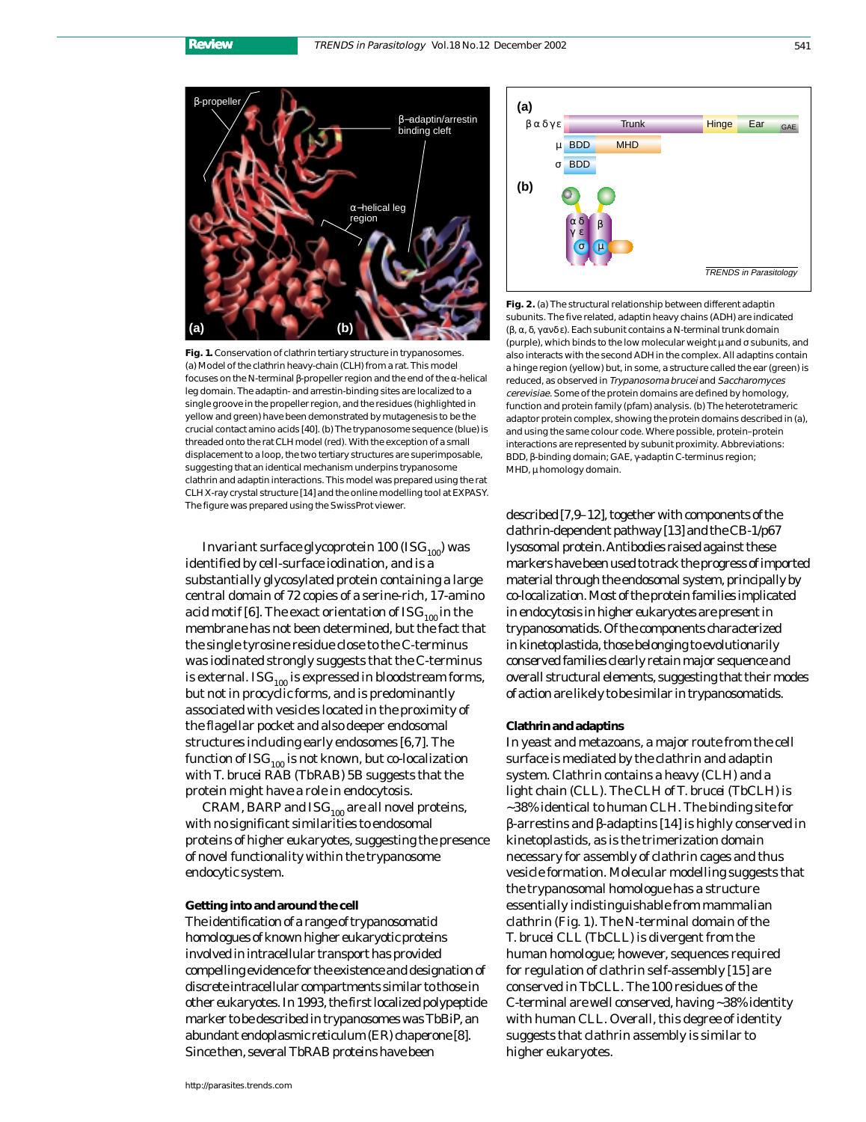

**Fig. 1.** Conservation of clathrin tertiary structure in trypanosomes. (a) Model of the clathrin heavy-chain (CLH) from a rat. This model focuses on the N-terminal β-propeller region and the end of the α-helical leg domain. The adaptin- and arrestin-binding sites are localized to a single groove in the propeller region, and the residues (highlighted in yellow and green) have been demonstrated by mutagenesis to be the crucial contact amino acids [40]. (b) The trypanosome sequence (blue) is threaded onto the rat CLH model (red). With the exception of a small displacement to a loop, the two tertiary structures are superimposable, suggesting that an identical mechanism underpins trypanosome clathrin and adaptin interactions. This model was prepared using the rat CLH X-ray crystal structure [14] and the online modelling tool at EXPASY. The figure was prepared using the SwissProt viewer.

Invariant surface glycoprotein 100 (IS $G<sub>100</sub>$ ) was identified by cell-surface iodination, and is a substantially glycosylated protein containing a large central domain of 72 copies of a serine-rich, 17-amino acid motif [6]. The exact orientation of  $\text{ISG}_{100}$  in the membrane has not been determined, but the fact that the single tyrosine residue close to the C-terminus was iodinated strongly suggests that the C-terminus is external. ISG $_{100}$  is expressed in bloodstream forms, but not in procyclic forms, and is predominantly associated with vesicles located in the proximity of the flagellar pocket and also deeper endosomal structures including early endosomes [6,7]. The function of  $\text{ISG}_{100}$  is not known, but co-localization with *T. brucei* RAB (TbRAB) 5B suggests that the protein might have a role in endocytosis.

CRAM, BARP and  $\text{ISG}_{100}$  are all novel proteins, with no significant similarities to endosomal proteins of higher eukaryotes, suggesting the presence of novel functionality within the trypanosome endocytic system.

#### **Getting into and around the cell**

The identification of a range of trypanosomatid homologues of known higher eukaryotic proteins involved in intracellular transport has provided compelling evidence for the existence and designation of discrete intracellular compartments similar to those in other eukaryotes. In 1993, the first localized polypeptide marker to be described in trypanosomes was TbBiP, an abundant endoplasmic reticulum (ER) chaperone [8]. Since then, several TbRAB proteins have been



**Fig. 2.** (a) The structural relationship between different adaptin subunits. The five related, adaptin heavy chains (ADH) are indicated (β, α, δ, γ ανδ ε). Each subunit contains a N-terminal trunk domain (purple), which binds to the low molecular weight  $\mu$  and  $\sigma$  subunits, and also interacts with the second ADH in the complex. All adaptins contain a hinge region (yellow) but, in some, a structure called the ear (green) is reduced, as observed in Trypanosoma brucei and Saccharomyces cerevisiae. Some of the protein domains are defined by homology, function and protein family (pfam) analysis. (b) The heterotetrameric adaptor protein complex, showing the protein domains described in (a), and using the same colour code. Where possible, protein–protein interactions are represented by subunit proximity. Abbreviations: BDD, β-binding domain; GAE, γ-adaptin C-terminus region; MHD,  $\mu$  homology domain.

described [7,9–12], together with components of the clathrin-dependent pathway [13] and the CB-1/p67 lysosomal protein. Antibodies raised against these markers have been used to track the progress of imported material through the endosomal system, principally by co-localization. Most of the protein families implicated in endocytosis in higher eukaryotes are present in trypanosomatids. Of the components characterized in kinetoplastida, those belonging to evolutionarily conserved families clearly retain major sequence and overall structural elements, suggesting that their modes of action are likely to be similar in trypanosomatids.

#### **Clathrin and adaptins**

In yeast and metazoans, a major route from the cell surface is mediated by the clathrin and adaptin system. Clathrin contains a heavy (CLH) and a light chain (CLL). The CLH of *T. brucei* (TbCLH) is ~38% identical to human CLH. The binding site for β-arrestins and β-adaptins [14] is highly conserved in kinetoplastids, as is the trimerization domain necessary for assembly of clathrin cages and thus vesicle formation. Molecular modelling suggests that the trypanosomal homologue has a structure essentially indistinguishable from mammalian clathrin (Fig. 1). The N-terminal domain of the *T. brucei* CLL (TbCLL) is divergent from the human homologue; however, sequences required for regulation of clathrin self-assembly [15] are conserved in TbCLL. The 100 residues of the C-terminal are well conserved, having ~38% identity with human CLL. Overall, this degree of identity suggests that clathrin assembly is similar to higher eukaryotes.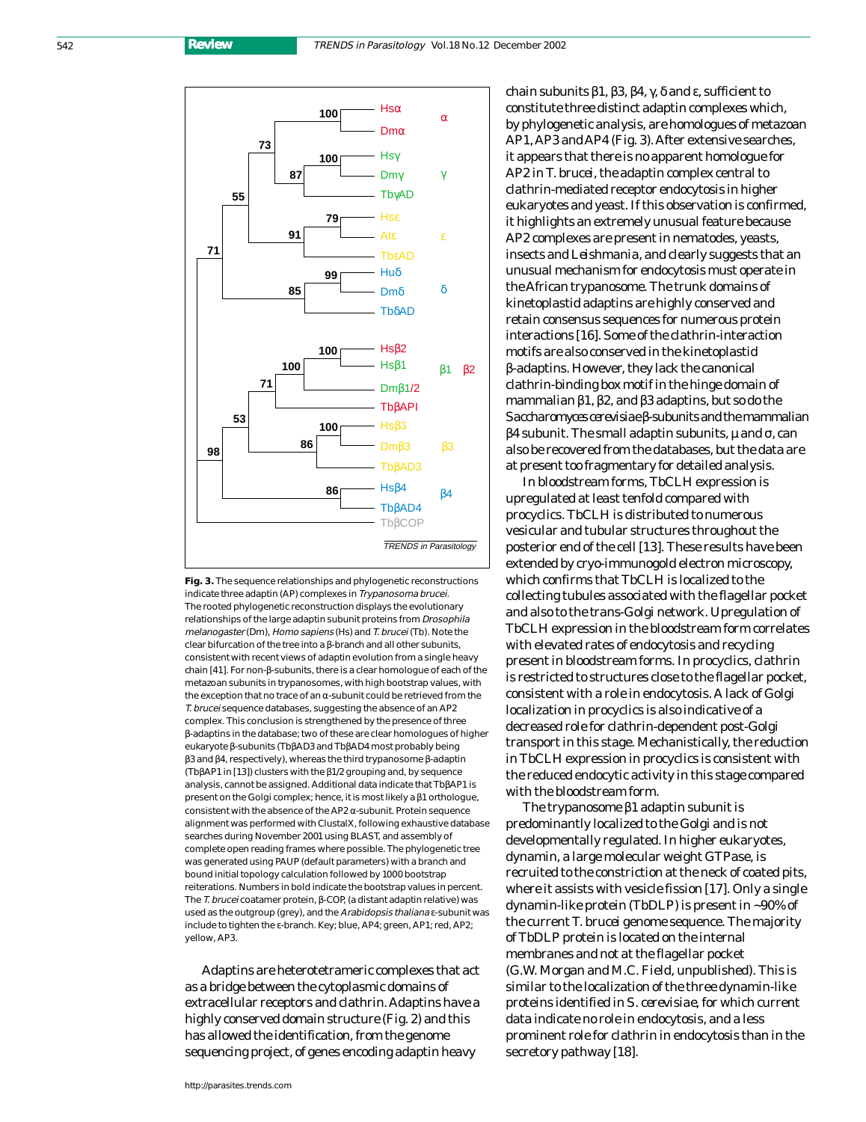542 **Review**





Adaptins are heterotetrameric complexes that act as a bridge between the cytoplasmic domains of extracellular receptors and clathrin. Adaptins have a highly conserved domain structure (Fig. 2) and this has allowed the identification, from the genome sequencing project, of genes encoding adaptin heavy

chain subunits  $β1, β3, β4, γ, δ$  and ε, sufficient to constitute three distinct adaptin complexes which, by phylogenetic analysis, are homologues of metazoan AP1, AP3 and AP4 (Fig. 3). After extensive searches, it appears that there is no apparent homologue for AP2 in *T. brucei*, the adaptin complex central to clathrin-mediated receptor endocytosis in higher eukaryotes and yeast. If this observation is confirmed, it highlights an extremely unusual feature because AP2 complexes are present in nematodes, yeasts, insects and *Leishmania*, and clearly suggests that an unusual mechanism for endocytosis must operate in the African trypanosome. The trunk domains of kinetoplastid adaptins are highly conserved and retain consensus sequences for numerous protein interactions [16]. Some of the clathrin-interaction motifs are also conserved in the kinetoplastid β-adaptins. However, they lack the canonical clathrin-binding box motif in the hinge domain of mammalian β1, β2, and β3 adaptins, but so do the *Saccharomyces cerevisiae*β-subunits and the mammalian  $β$ 4 subunit. The small adaptin subunits,  $μ$  and  $σ$ , can also be recovered from the databases, but the data are at present too fragmentary for detailed analysis.

In bloodstream forms, TbCLH expression is upregulated at least tenfold compared with procyclics. TbCLH is distributed to numerous vesicular and tubular structures throughout the posterior end of the cell [13]. These results have been extended by cryo-immunogold electron microscopy, which confirms that TbCLH is localized to the collecting tubules associated with the flagellar pocket and also to the *trans*-Golgi network. Upregulation of TbCLH expression in the bloodstream form correlates with elevated rates of endocytosis and recycling present in bloodstream forms. In procyclics, clathrin is restricted to structures close to the flagellar pocket, consistent with a role in endocytosis. A lack of Golgi localization in procyclics is also indicative of a decreased role for clathrin-dependent post-Golgi transport in this stage. Mechanistically, the reduction in TbCLH expression in procyclics is consistent with the reduced endocytic activity in this stage compared with the bloodstream form.

The trypanosome β1 adaptin subunit is predominantly localized to the Golgi and is not developmentally regulated. In higher eukaryotes, dynamin, a large molecular weight GTPase, is recruited to the constriction at the neck of coated pits, where it assists with vesicle fission [17]. Only a single dynamin-like protein (TbDLP) is present in ~90% of the current *T. brucei* genome sequence. The majority of TbDLP protein is located on the internal membranes and not at the flagellar pocket (G.W. Morgan and M.C. Field, unpublished). This is similar to the localization of the three dynamin-like proteins identified in *S. cerevisiae*, for which current data indicate no role in endocytosis, and a less prominent role for clathrin in endocytosis than in the secretory pathway [18].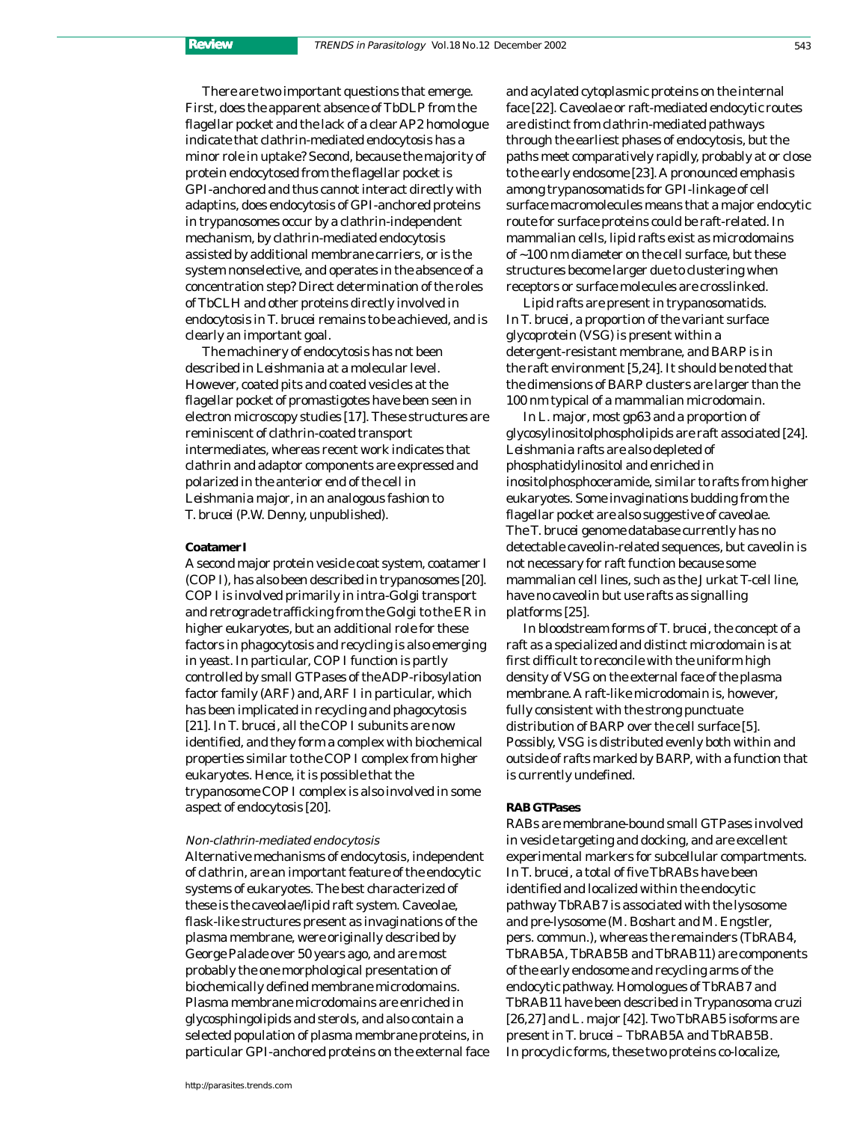There are two important questions that emerge. First, does the apparent absence of TbDLP from the flagellar pocket and the lack of a clear AP2 homologue indicate that clathrin-mediated endocytosis has a minor role in uptake? Second, because the majority of protein endocytosed from the flagellar pocket is GPI-anchored and thus cannot interact directly with adaptins, does endocytosis of GPI-anchored proteins in trypanosomes occur by a clathrin-independent mechanism, by clathrin-mediated endocytosis assisted by additional membrane carriers, or is the system nonselective, and operates in the absence of a concentration step? Direct determination of the roles of TbCLH and other proteins directly involved in endocytosis in *T. brucei* remains to be achieved, and is clearly an important goal.

The machinery of endocytosis has not been described in *Leishmania* at a molecular level. However, coated pits and coated vesicles at the flagellar pocket of promastigotes have been seen in electron microscopy studies [17]. These structures are reminiscent of clathrin-coated transport intermediates, whereas recent work indicates that clathrin and adaptor components are expressed and polarized in the anterior end of the cell in *Leishmania major*, in an analogous fashion to *T. brucei* (P.W. Denny, unpublished).

#### **Coatamer I**

A second major protein vesicle coat system, coatamer I (COP I), has also been described in trypanosomes [20]. COP I is involved primarily in *intra*-Golgi transport and retrograde trafficking from the Golgi to the ER in higher eukaryotes, but an additional role for these factors in phagocytosis and recycling is also emerging in yeast. In particular, COP I function is partly controlled by small GTPases of the ADP-ribosylation factor family (ARF) and, ARF I in particular, which has been implicated in recycling and phagocytosis [21]. In *T. brucei*, all the COP I subunits are now identified, and they form a complex with biochemical properties similar to the COP I complex from higher eukaryotes. Hence, it is possible that the trypanosome COP I complex is also involved in some aspect of endocytosis [20].

#### Non-clathrin-mediated endocytosis

Alternative mechanisms of endocytosis, independent of clathrin, are an important feature of the endocytic systems of eukaryotes. The best characterized of these is the caveolae/lipid raft system. Caveolae, flask-like structures present as invaginations of the plasma membrane, were originally described by George Palade over 50 years ago, and are most probably the one morphological presentation of biochemically defined membrane microdomains. Plasma membrane microdomains are enriched in glycosphingolipids and sterols, and also contain a selected population of plasma membrane proteins, in particular GPI-anchored proteins on the external face and acylated cytoplasmic proteins on the internal face [22]. Caveolae or raft-mediated endocytic routes are distinct from clathrin-mediated pathways through the earliest phases of endocytosis, but the paths meet comparatively rapidly, probably at or close to the early endosome [23]. A pronounced emphasis among trypanosomatids for GPI-linkage of cell surface macromolecules means that a major endocytic route for surface proteins could be raft-related. In mammalian cells, lipid rafts exist as microdomains of ~100 nm diameter on the cell surface, but these structures become larger due to clustering when receptors or surface molecules are crosslinked.

Lipid rafts are present in trypanosomatids. In *T. brucei*, a proportion of the variant surface glycoprotein (VSG) is present within a detergent-resistant membrane, and BARP is in the raft environment [5,24]. It should be noted that the dimensions of BARP clusters are larger than the 100 nm typical of a mammalian microdomain.

In *L. major*, most gp63 and a proportion of glycosylinositolphospholipids are raft associated [24]. *Leishmania* rafts are also depleted of phosphatidylinositol and enriched in inositolphosphoceramide, similar to rafts from higher eukaryotes. Some invaginations budding from the flagellar pocket are also suggestive of caveolae. The *T. brucei* genome database currently has no detectable caveolin-related sequences, but caveolin is not necessary for raft function because some mammalian cell lines, such as the Jurkat T-cell line, have no caveolin but use rafts as signalling platforms [25].

In bloodstream forms of *T. brucei,*the concept of a raft as a specialized and distinct microdomain is at first difficult to reconcile with the uniform high density of VSG on the external face of the plasma membrane. A raft-like microdomain is, however, fully consistent with the strong punctuate distribution of BARP over the cell surface [5]. Possibly, VSG is distributed evenly both within and outside of rafts marked by BARP, with a function that is currently undefined.

#### **RAB GTPases**

RABs are membrane-bound small GTPases involved in vesicle targeting and docking, and are excellent experimental markers for subcellular compartments. In *T. brucei*, a total of five TbRABs have been identified and localized within the endocytic pathway TbRAB7 is associated with the lysosome and pre-lysosome (M. Boshart and M. Engstler, pers. commun.), whereas the remainders (TbRAB4, TbRAB5A, TbRAB5B and TbRAB11) are components of the early endosome and recycling arms of the endocytic pathway. Homologues of TbRAB7 and TbRAB11 have been described in *Trypanosoma cruzi* [26,27] and *L. major* [42]. Two TbRAB5 isoforms are present in *T. brucei* – TbRAB5A and TbRAB5B. In procyclic forms, these two proteins co-localize,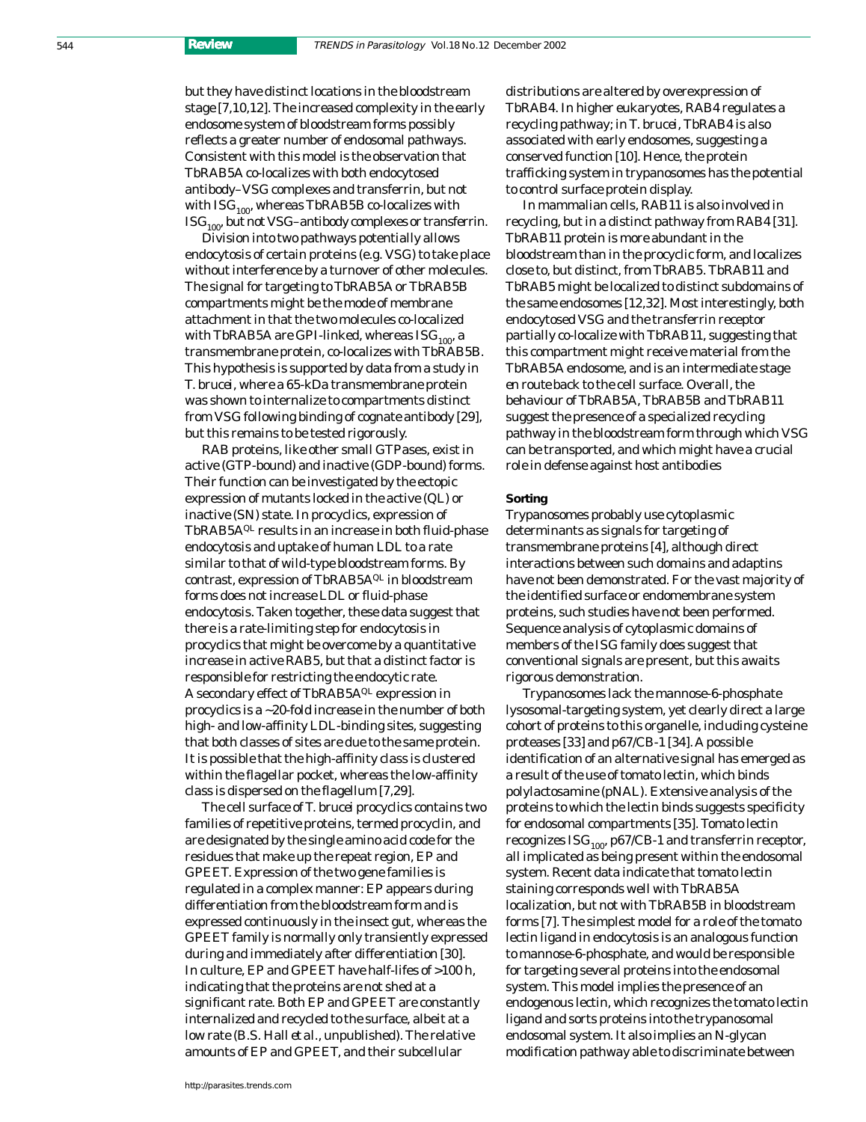but they have distinct locations in the bloodstream stage [7,10,12]. The increased complexity in the early endosome system of bloodstream forms possibly reflects a greater number of endosomal pathways. Consistent with this model is the observation that TbRAB5A co-localizes with both endocytosed antibody–VSG complexes and transferrin, but not with  $\text{ISG}_{100}$ , whereas TbRAB5B co-localizes with  $\text{ISG}_{100}$ , but not VSG–antibody complexes or transferrin.

Division into two pathways potentially allows endocytosis of certain proteins (e.g. VSG) to take place without interference by a turnover of other molecules. The signal for targeting to TbRAB5A or TbRAB5B compartments might be the mode of membrane attachment in that the two molecules co-localized with TbRAB5A are GPI-linked, whereas  $\text{ISG}_{100}$ , a transmembrane protein, co-localizes with TbRAB5B. This hypothesis is supported by data from a study in *T. brucei*, where a 65-kDa transmembrane protein was shown to internalize to compartments distinct from VSG following binding of cognate antibody [29], but this remains to be tested rigorously.

RAB proteins, like other small GTPases, exist in active (GTP-bound) and inactive (GDP-bound) forms. Their function can be investigated by the ectopic expression of mutants locked in the active (QL) or inactive (SN) state. In procyclics, expression of TbRAB5AQL results in an increase in both fluid-phase endocytosis and uptake of human LDL to a rate similar to that of wild-type bloodstream forms. By contrast, expression of TbRAB5A $Q<sup>L</sup>$  in bloodstream forms does not increase LDL or fluid-phase endocytosis. Taken together, these data suggest that there is a rate-limiting step for endocytosis in procyclics that might be overcome by a quantitative increase in active RAB5, but that a distinct factor is responsible for restricting the endocytic rate. A secondary effect of TbRAB5AQL expression in procyclics is a ~20-fold increase in the number of both high- and low-affinity LDL-binding sites, suggesting that both classes of sites are due to the same protein. It is possible that the high-affinity class is clustered within the flagellar pocket, whereas the low-affinity class is dispersed on the flagellum [7,29].

The cell surface of *T. brucei* procyclics contains two families of repetitive proteins, termed procyclin, and are designated by the single amino acid code for the residues that make up the repeat region, EP and GPEET. Expression of the two gene families is regulated in a complex manner: EP appears during differentiation from the bloodstream form and is expressed continuously in the insect gut, whereas the GPEET family is normally only transiently expressed during and immediately after differentiation [30]. In culture, EP and GPEET have half-lifes of >100 h, indicating that the proteins are not shed at a significant rate. Both EP and GPEET are constantly internalized and recycled to the surface, albeit at a low rate (B.S. Hall *et al.,* unpublished). The relative amounts of EP and GPEET, and their subcellular

distributions are altered by overexpression of TbRAB4. In higher eukaryotes, RAB4 regulates a recycling pathway; in *T. brucei*, TbRAB4 is also associated with early endosomes, suggesting a conserved function [10]. Hence, the protein trafficking system in trypanosomes has the potential to control surface protein display.

In mammalian cells, RAB11 is also involved in recycling, but in a distinct pathway from RAB4 [31]. TbRAB11 protein is more abundant in the bloodstream than in the procyclic form, and localizes close to, but distinct, from TbRAB5. TbRAB11 and TbRAB5 might be localized to distinct subdomains of the same endosomes [12,32]. Most interestingly, both endocytosed VSG and the transferrin receptor partially co-localize with TbRAB11, suggesting that this compartment might receive material from the TbRAB5A endosome, and is an intermediate stage *en route* back to the cell surface. Overall, the behaviour of TbRAB5A, TbRAB5B and TbRAB11 suggest the presence of a specialized recycling pathway in the bloodstream form through which VSG can be transported, and which might have a crucial role in defense against host antibodies

#### **Sorting**

Trypanosomes probably use cytoplasmic determinants as signals for targeting of transmembrane proteins [4], although direct interactions between such domains and adaptins have not been demonstrated. For the vast majority of the identified surface or endomembrane system proteins, such studies have not been performed. Sequence analysis of cytoplasmic domains of members of the ISG family does suggest that conventional signals are present, but this awaits rigorous demonstration.

Trypanosomes lack the mannose-6-phosphate lysosomal-targeting system, yet clearly direct a large cohort of proteins to this organelle, including cysteine proteases [33] and p67/CB-1 [34]. A possible identification of an alternative signal has emerged as a result of the use of tomato lectin, which binds polylactosamine (pNAL). Extensive analysis of the proteins to which the lectin binds suggests specificity for endosomal compartments [35]. Tomato lectin recognizes  $\text{ISG}_{100}$ , p67/CB-1 and transferrin receptor, all implicated as being present within the endosomal system. Recent data indicate that tomato lectin staining corresponds well with TbRAB5A localization, but not with TbRAB5B in bloodstream forms [7]. The simplest model for a role of the tomato lectin ligand in endocytosis is an analogous function to mannose-6-phosphate, and would be responsible for targeting several proteins into the endosomal system. This model implies the presence of an endogenous lectin, which recognizes the tomato lectin ligand and sorts proteins into the trypanosomal endosomal system. It also implies an *N*-glycan modification pathway able to discriminate between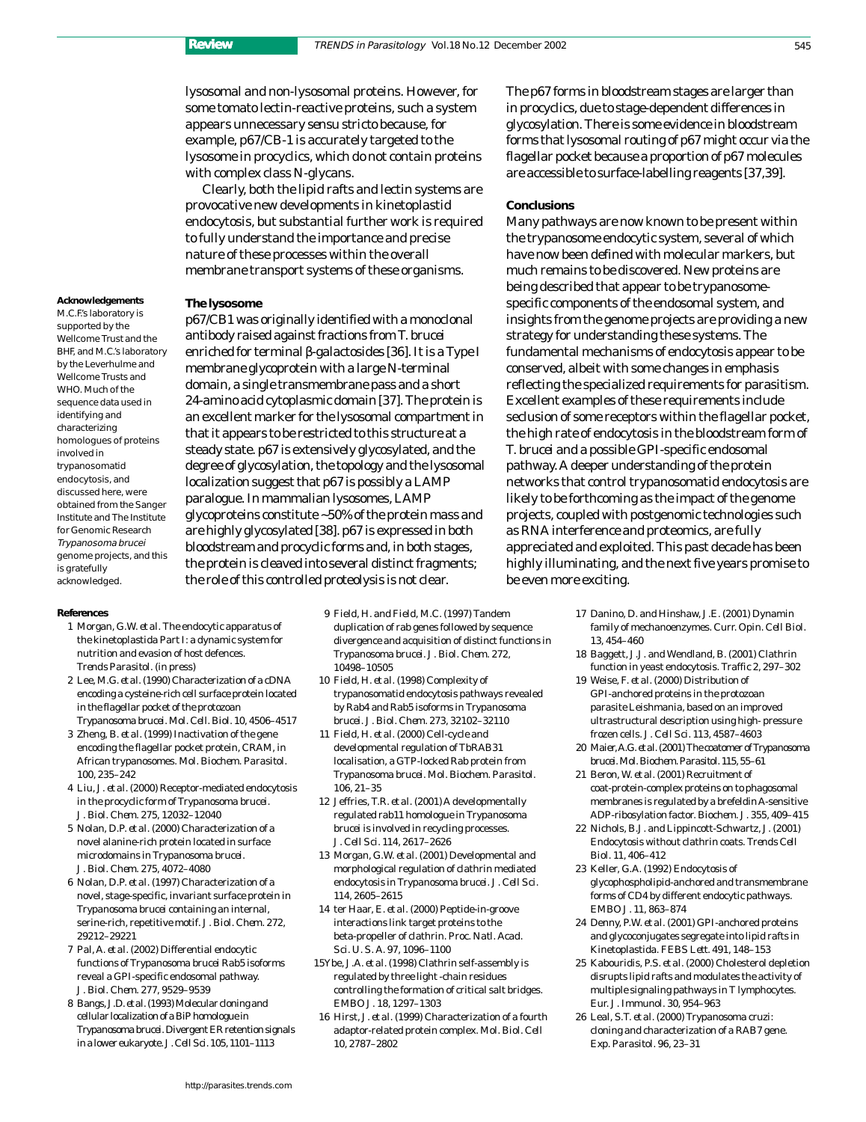lysosomal and non-lysosomal proteins. However, for some tomato lectin-reactive proteins, such a system appears unnecessary *sensu stricto* because, for example, p67/CB-1 is accurately targeted to the lysosome in procyclics, which do not contain proteins with complex class *N*-glycans.

Clearly, both the lipid rafts and lectin systems are provocative new developments in kinetoplastid endocytosis, but substantial further work is required to fully understand the importance and precise nature of these processes within the overall membrane transport systems of these organisms.

p67/CB1 was originally identified with a monoclonal antibody raised against fractions from *T. brucei* enriched for terminal β-galactosides [36]. It is a Type I membrane glycoprotein with a large N-terminal domain, a single transmembrane pass and a short 24-amino acid cytoplasmic domain [37]. The protein is an excellent marker for the lysosomal compartment in that it appears to be restricted to this structure at a steady state. p67 is extensively glycosylated, and the degree of glycosylation, the topology and the lysosomal

#### **The lysosome**

M.C.F.'s laboratory is supported by the Wellcome Trust and the BHF, and M.C.'s laboratory by the Leverhulme and Wellcome Trusts and WHO. Much of the sequence data used in identifying and characterizing homologues of proteins involved in trypanosomatid endocytosis, and discussed here, were obtained from the Sanger Institute and The Institute for Genomic Research Trypanosoma brucei genome projects, and this is gratefully acknowledged.

**Acknowledgements**

localization suggest that p67 is possibly a LAMP paralogue. In mammalian lysosomes, LAMP glycoproteins constitute ~50% of the protein mass and are highly glycosylated [38]. p67 is expressed in both bloodstream and procyclic forms and, in both stages, the protein is cleaved into several distinct fragments; the role of this controlled proteolysis is not clear.

#### **References**

- 1 Morgan, G.W. *et al.* The endocytic apparatus of the kinetoplastida Part I: a dynamic system for nutrition and evasion of host defences. *Trends Parasitol.* (in press)
- 2 Lee, M.G. *et al.*(1990) Characterization of a cDNA encoding a cysteine-rich cell surface protein located in the flagellar pocket of the protozoan *Trypanosoma brucei. Mol. Cell. Biol.* 10, 4506–4517
- 3 Zheng, B. *et al.* (1999) Inactivation of the gene encoding the flagellar pocket protein, CRAM, in African trypanosomes. *Mol. Biochem. Parasitol.* 100, 235–242
- 4 Liu, J. *et al.* (2000) Receptor-mediated endocytosis in the procyclic form of *Trypanosoma brucei. J. Biol. Chem.* 275, 12032–12040
- 5 Nolan, D.P. *et al.* (2000) Characterization of a novel alanine-rich protein located in surface microdomains in *Trypanosoma brucei. J. Biol. Chem.* 275, 4072–4080
- 6 Nolan, D.P. *et al.* (1997) Characterization of a novel, stage-specific, invariant surface protein in *Trypanosoma brucei* containing an internal, serine-rich, repetitive motif. *J. Biol. Chem.* 272, 29212–29221
- 7 Pal, A. *et al.* (2002) Differential endocytic functions of *Trypanosoma brucei* Rab5 isoforms reveal a GPI-specific endosomal pathway. *J. Biol. Chem.* 277, 9529–9539
- 8 Bangs, J.D. *et al.*(1993) Molecular cloning and cellular localization of a BiPhomologue in *Trypanosoma brucei*. Divergent ER retention signals in a lower eukaryote. *J. Cell Sci.*105, 1101–1113
- 9 Field, H. and Field, M.C. (1997) Tandem duplication of rab genes followed by sequence divergence and acquisition of distinct functions in *Trypanosoma brucei. J. Biol. Chem.* 272, 10498–10505
- 10 Field, H. *et al.* (1998) Complexity of trypanosomatid endocytosis pathways revealed by Rab4 and Rab5 isoforms in *Trypanosoma brucei. J. Biol. Chem.* 273, 32102–32110
- 11 Field, H. *et al.* (2000) Cell-cycle and developmental regulation of TbRAB31 localisation, a GTP-locked Rab protein from *Trypanosoma brucei. Mol. Biochem. Parasitol.* 106, 21–35
- 12 Jeffries, T.R. *et al.* (2001) A developmentally regulated rab11 homologue in *Trypanosoma brucei* is involved in recycling processes. *J. Cell Sci.* 114, 2617–2626
- 13 Morgan, G.W. *et al.* (2001) Developmental and morphological regulation of clathrin mediated endocytosis in *Trypanosoma brucei. J. Cell Sci.* 114, 2605–2615
- 14 ter Haar, E. *et al.* (2000) Peptide-in-groove interactions link target proteins to the beta-propeller of clathrin. *Proc. Natl. Acad. Sci. U. S. A.* 97, 1096–1100
- 15Ybe, J.A. *et al.* (1998) Clathrin self-assembly is regulated by three light -chain residues controlling the formation of critical salt bridges. *EMBO J.* 18, 1297–1303
- 16 Hirst, J. *et al.* (1999) Characterization of a fourth adaptor-related protein complex. *Mol. Biol. Cell* 10, 2787–2802

The p67 forms in bloodstream stages are larger than in procyclics, due to stage-dependent differences in glycosylation. There is some evidence in bloodstream forms that lysosomal routing of p67 might occur via the flagellar pocket because a proportion of p67 molecules are accessible to surface-labelling reagents [37,39].

#### **Conclusions**

Many pathways are now known to be present within the trypanosome endocytic system, several of which have now been defined with molecular markers, but much remains to be discovered. New proteins are being described that appear to be trypanosomespecific components of the endosomal system, and insights from the genome projects are providing a new strategy for understanding these systems. The fundamental mechanisms of endocytosis appear to be conserved, albeit with some changes in emphasis reflecting the specialized requirements for parasitism. Excellent examples of these requirements include seclusion of some receptors within the flagellar pocket, the high rate of endocytosis in the bloodstream form of *T. brucei* and a possible GPI-specific endosomal pathway. A deeper understanding of the protein networks that control trypanosomatid endocytosis are likely to be forthcoming as the impact of the genome projects, coupled with postgenomic technologies such as RNA interference and proteomics, are fully appreciated and exploited. This past decade has been highly illuminating, and the next five years promise to be even more exciting.

- 17 Danino, D. and Hinshaw, J.E. (2001) Dynamin family of mechanoenzymes. *Curr. Opin. Cell Biol.* 13, 454–460
- 18 Baggett, J.J. and Wendland, B. (2001) Clathrin function in yeast endocytosis. *Traffic* 2, 297–302
- 19 Weise, F. *et al.* (2000) Distribution of GPI-anchored proteins in the protozoan parasite Leishmania, based on an improved ultrastructural description using high- pressure frozen cells. *J. Cell Sci.* 113, 4587–4603
- 20 Maier, A.G. *et al.*(2001) The coatomer of *Trypanosoma brucei.Mol. Biochem. Parasitol.*115, 55–61
- 21 Beron, W. *et al.* (2001) Recruitment of coat-protein-complex proteins on to phagosomal membranes is regulated by a brefeldin A-sensitive ADP-ribosylation factor. *Biochem. J.* 355, 409–415
- 22 Nichols, B.J. and Lippincott-Schwartz, J. (2001) Endocytosis without clathrin coats. *Trends Cell Biol.* 11, 406–412
- 23 Keller, G.A. (1992) Endocytosis of glycophospholipid-anchored and transmembrane forms of CD4 by different endocytic pathways. *EMBO J.* 11, 863–874
- 24 Denny, P.W. *et al.* (2001) GPI-anchored proteins and glycoconjugates segregate into lipid rafts in Kinetoplastida. *FEBS Lett.* 491, 148–153
- 25 Kabouridis, P.S. *et al.* (2000) Cholesterol depletion disrupts lipid rafts and modulates the activity of multiple signaling pathways in T lymphocytes. *Eur. J. Immunol.* 30, 954–963
- 26 Leal, S.T. *et al.* (2000) *Trypanosoma cruzi*: cloning and characterization of a RAB7 gene. *Exp. Parasitol.* 96, 23–31